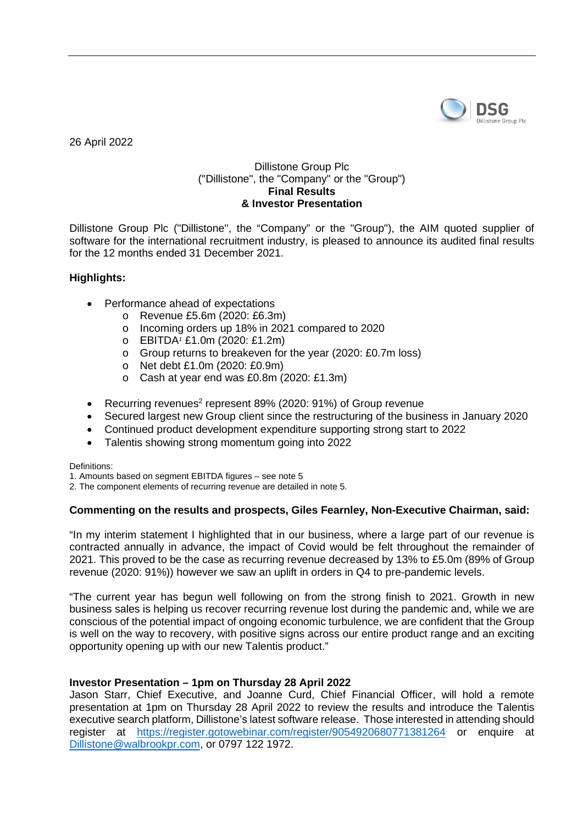

26 April 2022

# Dillistone Group Plc ("Dillistone", the "Company" or the "Group") **Final Results & Investor Presentation**

Dillistone Group Plc ("Dillistone", the "Company" or the "Group"), the AIM quoted supplier of software for the international recruitment industry, is pleased to announce its audited final results for the 12 months ended 31 December 2021.

# **Highlights:**

- Performance ahead of expectations
	- o Revenue £5.6m (2020: £6.3m)
	- o Incoming orders up 18% in 2021 compared to 2020
	- o EBITDA*<sup>1</sup>* £1.0m (2020: £1.2m)
	- o Group returns to breakeven for the year (2020: £0.7m loss)
	- o Net debt £1.0m (2020: £0.9m)
	- o Cash at year end was £0.8m (2020: £1.3m)
- Recurring revenues<sup>2</sup> represent 89% (2020: 91%) of Group revenue
- Secured largest new Group client since the restructuring of the business in January 2020
- Continued product development expenditure supporting strong start to 2022
- Talentis showing strong momentum going into 2022

Definitions:

1. Amounts based on segment EBITDA figures – see note 5

2. The component elements of recurring revenue are detailed in note 5.

# **Commenting on the results and prospects, Giles Fearnley, Non-Executive Chairman, said:**

"In my interim statement I highlighted that in our business, where a large part of our revenue is contracted annually in advance, the impact of Covid would be felt throughout the remainder of 2021. This proved to be the case as recurring revenue decreased by 13% to £5.0m (89% of Group revenue (2020: 91%)) however we saw an uplift in orders in Q4 to pre-pandemic levels.

"The current year has begun well following on from the strong finish to 2021. Growth in new business sales is helping us recover recurring revenue lost during the pandemic and, while we are conscious of the potential impact of ongoing economic turbulence, we are confident that the Group is well on the way to recovery, with positive signs across our entire product range and an exciting opportunity opening up with our new Talentis product."

# **Investor Presentation – 1pm on Thursday 28 April 2022**

Jason Starr, Chief Executive, and Joanne Curd, Chief Financial Officer, will hold a remote presentation at 1pm on Thursday 28 April 2022 to review the results and introduce the Talentis executive search platform, Dillistone's latest software release. Those interested in attending should register at [https://register.gotowebinar.com/register/9054920680771381264](https://urldefense.proofpoint.com/v2/url?u=https-3A__register.gotowebinar.com_register_9054920680771381264&d=DwMFaQ&c=euGZstcaTDllvimEN8b7jXrwqOf-v5A_CdpgnVfiiMM&r=05PHl3GHdShYuaCii2fBRpoqaNr9B1d97X09daeosu0&m=ltc0VbYWjOqzDsznqIvuOjJngJy3jiUjD-Fv8xd7yQM&s=9DFlM_1SPQ-C-ki6KZI5aLRlt9Plaz9rQqNpSvAH1t0&e=)</u> or enquire at [Dillistone@walbrookpr.com,](mailto:Dillistone@walbrookpr.com) or 0797 122 1972.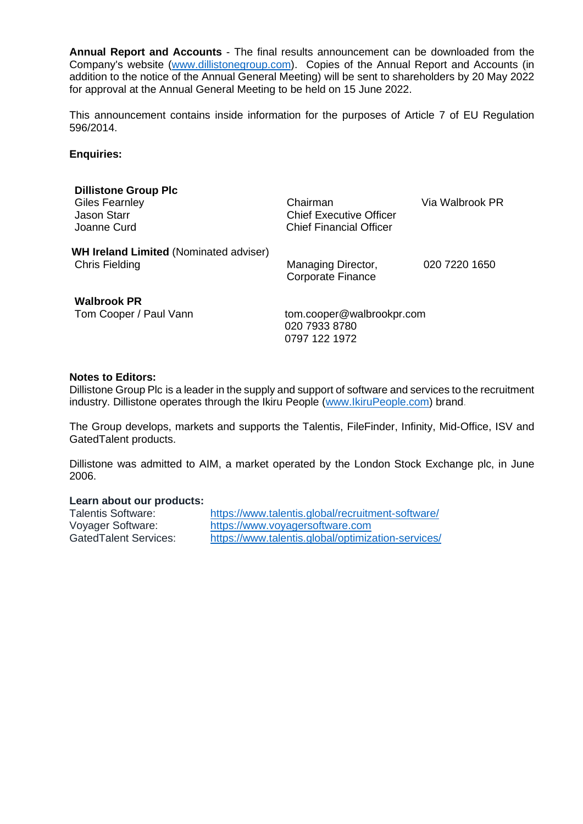**Annual Report and Accounts** - The final results announcement can be downloaded from the Company's website [\(www.dillistonegroup.com\)](http://www.dillistonegroup.com/). Copies of the Annual Report and Accounts (in addition to the notice of the Annual General Meeting) will be sent to shareholders by 20 May 2022 for approval at the Annual General Meeting to be held on 15 June 2022.

This announcement contains inside information for the purposes of Article 7 of EU Regulation 596/2014.

#### **Enquiries:**

| <b>Dillistone Group Plc</b><br><b>Giles Fearnley</b><br>Jason Starr<br>Joanne Curd | Chairman<br><b>Chief Executive Officer</b><br>Chief Financial Officer | Via Walbrook PR |
|------------------------------------------------------------------------------------|-----------------------------------------------------------------------|-----------------|
| <b>WH Ireland Limited (Nominated adviser)</b><br><b>Chris Fielding</b>             | Managing Director,<br><b>Corporate Finance</b>                        | 020 7220 1650   |
| <b>Walbrook PR</b><br>Tom Cooper / Paul Vann                                       | tom.cooper@walbrookpr.com<br>020 7933 8780<br>0797 122 1972           |                 |

#### **Notes to Editors:**

Dillistone Group Plc is a leader in the supply and support of software and services to the recruitment industry. Dillistone operates through the Ikiru People [\(www.IkiruPeople.com\)](https://www.ikirupeople.com/) brand.

The Group develops, markets and supports the Talentis, FileFinder, Infinity, Mid-Office, ISV and GatedTalent products.

Dillistone was admitted to AIM, a market operated by the London Stock Exchange plc, in June 2006.

## **Learn about our products:**

| <b>Talentis Software:</b> | https://www.talentis.global/recruitment-software/  |
|---------------------------|----------------------------------------------------|
| Voyager Software:         | https://www.voyagersoftware.com                    |
| Gated Talent Services:    | https://www.talentis.global/optimization-services/ |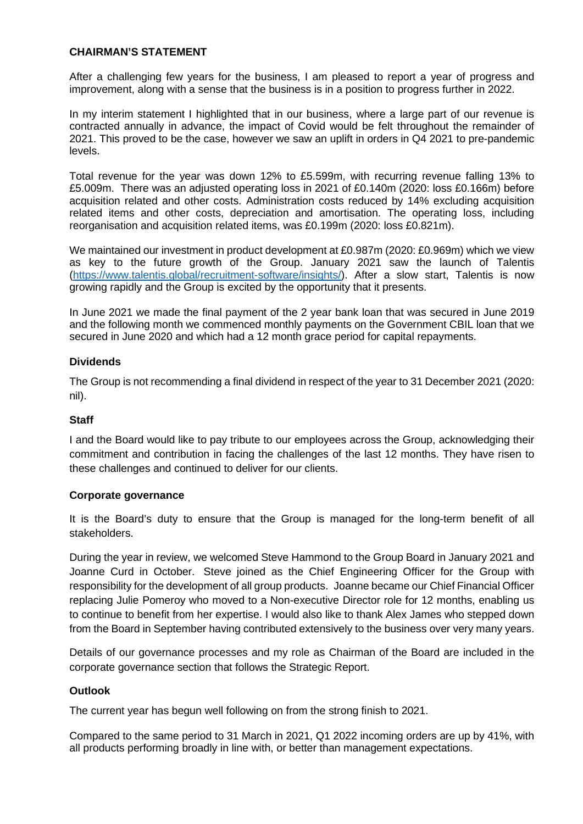### **CHAIRMAN'S STATEMENT**

After a challenging few years for the business, I am pleased to report a year of progress and improvement, along with a sense that the business is in a position to progress further in 2022.

In my interim statement I highlighted that in our business, where a large part of our revenue is contracted annually in advance, the impact of Covid would be felt throughout the remainder of 2021. This proved to be the case, however we saw an uplift in orders in Q4 2021 to pre-pandemic levels.

Total revenue for the year was down 12% to £5.599m, with recurring revenue falling 13% to £5.009m. There was an adjusted operating loss in 2021 of £0.140m (2020: loss £0.166m) before acquisition related and other costs. Administration costs reduced by 14% excluding acquisition related items and other costs, depreciation and amortisation. The operating loss, including reorganisation and acquisition related items, was £0.199m (2020: loss £0.821m).

We maintained our investment in product development at £0.987m (2020: £0.969m) which we view as key to the future growth of the Group. January 2021 saw the launch of Talentis [\(https://www.talentis.global/recruitment-software/insights/\)](https://www.talentis.global/recruitment-software/insights/). After a slow start, Talentis is now growing rapidly and the Group is excited by the opportunity that it presents.

In June 2021 we made the final payment of the 2 year bank loan that was secured in June 2019 and the following month we commenced monthly payments on the Government CBIL loan that we secured in June 2020 and which had a 12 month grace period for capital repayments.

### **Dividends**

The Group is not recommending a final dividend in respect of the year to 31 December 2021 (2020: nil).

# **Staff**

I and the Board would like to pay tribute to our employees across the Group, acknowledging their commitment and contribution in facing the challenges of the last 12 months. They have risen to these challenges and continued to deliver for our clients.

#### **Corporate governance**

It is the Board's duty to ensure that the Group is managed for the long-term benefit of all stakeholders.

During the year in review, we welcomed Steve Hammond to the Group Board in January 2021 and Joanne Curd in October. Steve joined as the Chief Engineering Officer for the Group with responsibility for the development of all group products. Joanne became our Chief Financial Officer replacing Julie Pomeroy who moved to a Non-executive Director role for 12 months, enabling us to continue to benefit from her expertise. I would also like to thank Alex James who stepped down from the Board in September having contributed extensively to the business over very many years.

Details of our governance processes and my role as Chairman of the Board are included in the corporate governance section that follows the Strategic Report.

#### **Outlook**

The current year has begun well following on from the strong finish to 2021.

Compared to the same period to 31 March in 2021, Q1 2022 incoming orders are up by 41%, with all products performing broadly in line with, or better than management expectations.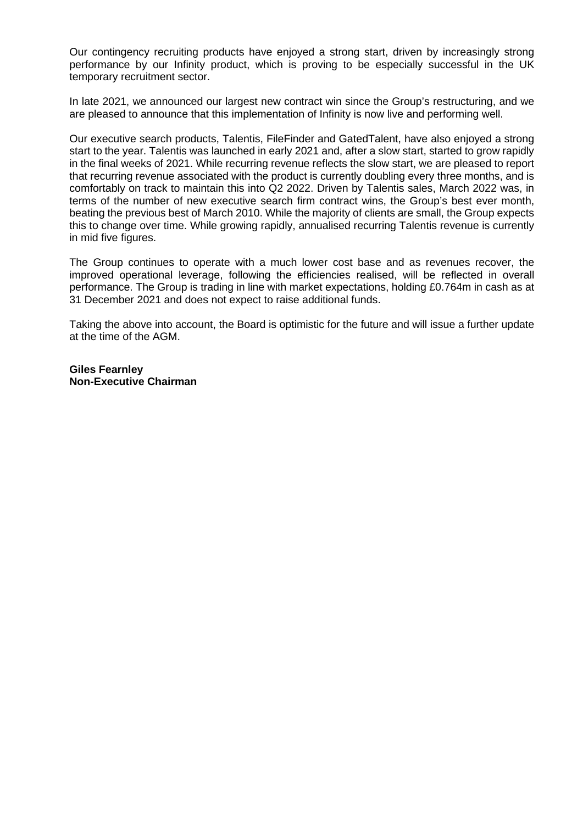Our contingency recruiting products have enjoyed a strong start, driven by increasingly strong performance by our Infinity product, which is proving to be especially successful in the UK temporary recruitment sector.

In late 2021, we announced our largest new contract win since the Group's restructuring, and we are pleased to announce that this implementation of Infinity is now live and performing well.

Our executive search products, Talentis, FileFinder and GatedTalent, have also enjoyed a strong start to the year. Talentis was launched in early 2021 and, after a slow start, started to grow rapidly in the final weeks of 2021. While recurring revenue reflects the slow start, we are pleased to report that recurring revenue associated with the product is currently doubling every three months, and is comfortably on track to maintain this into Q2 2022. Driven by Talentis sales, March 2022 was, in terms of the number of new executive search firm contract wins, the Group's best ever month, beating the previous best of March 2010. While the majority of clients are small, the Group expects this to change over time. While growing rapidly, annualised recurring Talentis revenue is currently in mid five figures.

The Group continues to operate with a much lower cost base and as revenues recover, the improved operational leverage, following the efficiencies realised, will be reflected in overall performance. The Group is trading in line with market expectations, holding £0.764m in cash as at 31 December 2021 and does not expect to raise additional funds.

Taking the above into account, the Board is optimistic for the future and will issue a further update at the time of the AGM.

**Giles Fearnley Non-Executive Chairman**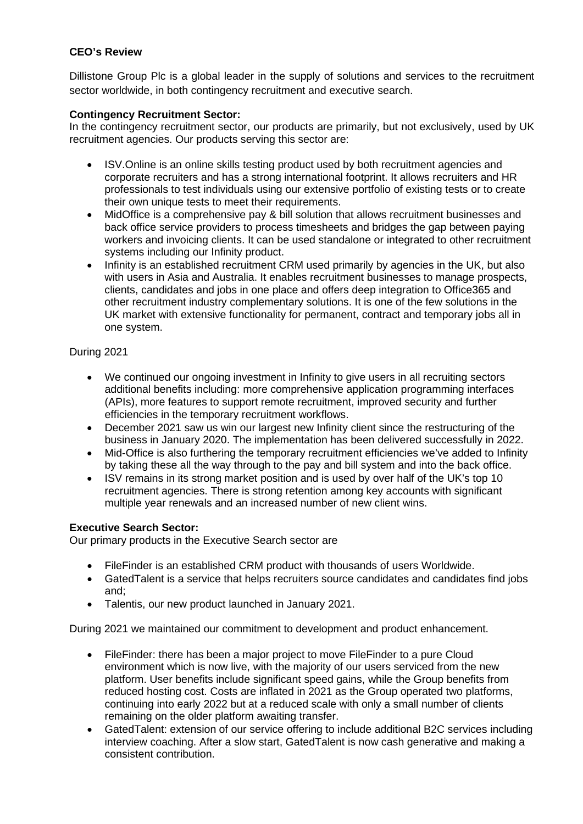# **CEO's Review**

Dillistone Group Plc is a global leader in the supply of solutions and services to the recruitment sector worldwide, in both contingency recruitment and executive search.

# **Contingency Recruitment Sector:**

In the contingency recruitment sector, our products are primarily, but not exclusively, used by UK recruitment agencies. Our products serving this sector are:

- ISV.Online is an online skills testing product used by both recruitment agencies and corporate recruiters and has a strong international footprint. It allows recruiters and HR professionals to test individuals using our extensive portfolio of existing tests or to create their own unique tests to meet their requirements.
- MidOffice is a comprehensive pay & bill solution that allows recruitment businesses and back office service providers to process timesheets and bridges the gap between paying workers and invoicing clients. It can be used standalone or integrated to other recruitment systems including our Infinity product.
- Infinity is an established recruitment CRM used primarily by agencies in the UK, but also with users in Asia and Australia. It enables recruitment businesses to manage prospects, clients, candidates and jobs in one place and offers deep integration to Office365 and other recruitment industry complementary solutions. It is one of the few solutions in the UK market with extensive functionality for permanent, contract and temporary jobs all in one system.

# During 2021

- We continued our ongoing investment in Infinity to give users in all recruiting sectors additional benefits including: more comprehensive application programming interfaces (APIs), more features to support remote recruitment, improved security and further efficiencies in the temporary recruitment workflows.
- December 2021 saw us win our largest new Infinity client since the restructuring of the business in January 2020. The implementation has been delivered successfully in 2022.
- Mid-Office is also furthering the temporary recruitment efficiencies we've added to Infinity by taking these all the way through to the pay and bill system and into the back office.
- ISV remains in its strong market position and is used by over half of the UK's top 10 recruitment agencies. There is strong retention among key accounts with significant multiple year renewals and an increased number of new client wins.

# **Executive Search Sector:**

Our primary products in the Executive Search sector are

- FileFinder is an established CRM product with thousands of users Worldwide.
- GatedTalent is a service that helps recruiters source candidates and candidates find jobs and;
- Talentis, our new product launched in January 2021.

During 2021 we maintained our commitment to development and product enhancement.

- FileFinder: there has been a major project to move FileFinder to a pure Cloud environment which is now live, with the majority of our users serviced from the new platform. User benefits include significant speed gains, while the Group benefits from reduced hosting cost. Costs are inflated in 2021 as the Group operated two platforms, continuing into early 2022 but at a reduced scale with only a small number of clients remaining on the older platform awaiting transfer.
- GatedTalent: extension of our service offering to include additional B2C services including interview coaching. After a slow start, GatedTalent is now cash generative and making a consistent contribution.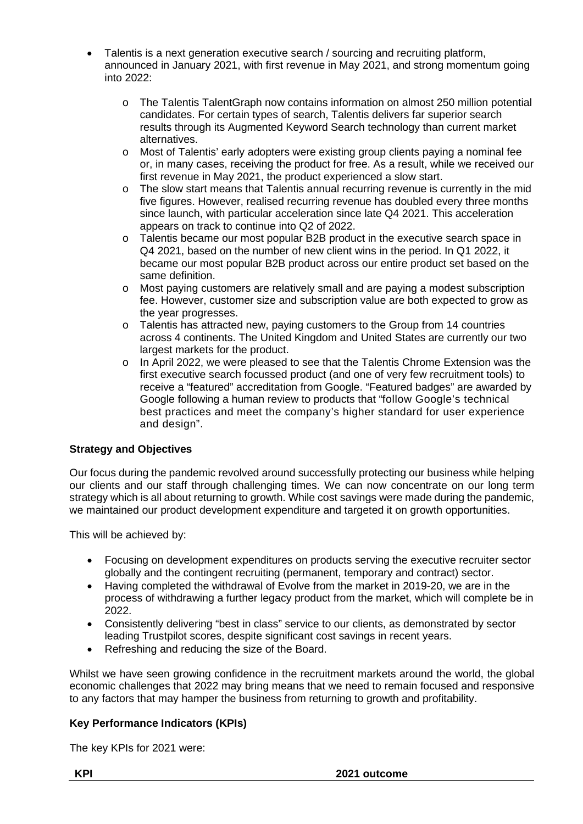- Talentis is a next generation executive search / sourcing and recruiting platform, announced in January 2021, with first revenue in May 2021, and strong momentum going into 2022:
	- o The Talentis TalentGraph now contains information on almost 250 million potential candidates. For certain types of search, Talentis delivers far superior search results through its Augmented Keyword Search technology than current market alternatives.
	- o Most of Talentis' early adopters were existing group clients paying a nominal fee or, in many cases, receiving the product for free. As a result, while we received our first revenue in May 2021, the product experienced a slow start.
	- $\circ$  The slow start means that Talentis annual recurring revenue is currently in the mid five figures. However, realised recurring revenue has doubled every three months since launch, with particular acceleration since late Q4 2021. This acceleration appears on track to continue into Q2 of 2022.
	- o Talentis became our most popular B2B product in the executive search space in Q4 2021, based on the number of new client wins in the period. In Q1 2022, it became our most popular B2B product across our entire product set based on the same definition.
	- o Most paying customers are relatively small and are paying a modest subscription fee. However, customer size and subscription value are both expected to grow as the year progresses.
	- $\circ$  Talentis has attracted new, paying customers to the Group from 14 countries across 4 continents. The United Kingdom and United States are currently our two largest markets for the product.
	- o In April 2022, we were pleased to see that the Talentis Chrome Extension was the first executive search focussed product (and one of very few recruitment tools) to receive a "featured" accreditation from Google. "Featured badges" are awarded by Google following a human review to products that "follow Google's technical best practices and meet the company's higher standard for user experience and design".

# **Strategy and Objectives**

Our focus during the pandemic revolved around successfully protecting our business while helping our clients and our staff through challenging times. We can now concentrate on our long term strategy which is all about returning to growth. While cost savings were made during the pandemic, we maintained our product development expenditure and targeted it on growth opportunities.

This will be achieved by:

- Focusing on development expenditures on products serving the executive recruiter sector globally and the contingent recruiting (permanent, temporary and contract) sector.
- Having completed the withdrawal of Evolve from the market in 2019-20, we are in the process of withdrawing a further legacy product from the market, which will complete be in 2022.
- Consistently delivering "best in class" service to our clients, as demonstrated by sector leading Trustpilot scores, despite significant cost savings in recent years.
- Refreshing and reducing the size of the Board.

Whilst we have seen growing confidence in the recruitment markets around the world, the global economic challenges that 2022 may bring means that we need to remain focused and responsive to any factors that may hamper the business from returning to growth and profitability.

# **Key Performance Indicators (KPIs)**

The key KPIs for 2021 were: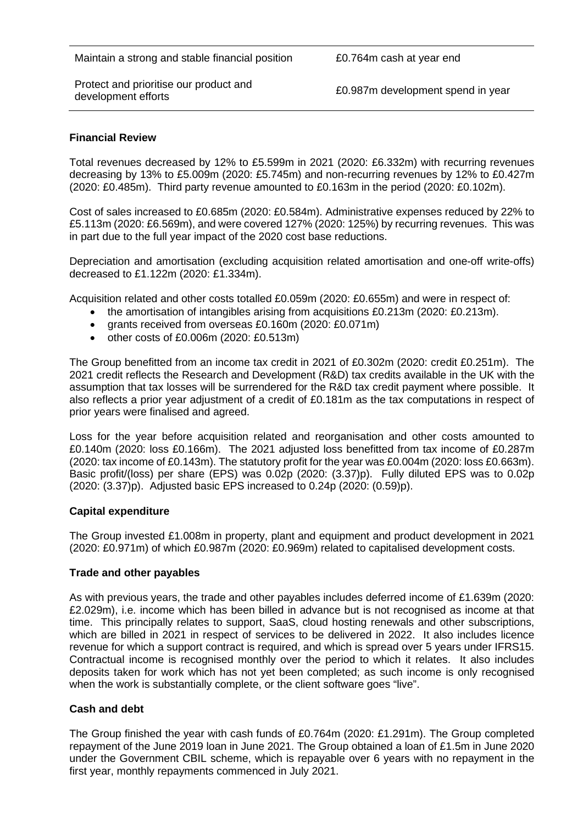Protect and prioritise our product and<br>development efforts

£0.987m development spend in year

### **Financial Review**

Total revenues decreased by 12% to £5.599m in 2021 (2020: £6.332m) with recurring revenues decreasing by 13% to £5.009m (2020: £5.745m) and non-recurring revenues by 12% to £0.427m (2020: £0.485m). Third party revenue amounted to £0.163m in the period (2020: £0.102m).

Cost of sales increased to £0.685m (2020: £0.584m). Administrative expenses reduced by 22% to £5.113m (2020: £6.569m), and were covered 127% (2020: 125%) by recurring revenues. This was in part due to the full year impact of the 2020 cost base reductions.

Depreciation and amortisation (excluding acquisition related amortisation and one-off write-offs) decreased to £1.122m (2020: £1.334m).

Acquisition related and other costs totalled £0.059m (2020: £0.655m) and were in respect of:

- the amortisation of intangibles arising from acquisitions £0.213m (2020: £0.213m).
- grants received from overseas £0.160m (2020: £0.071m)
- other costs of £0.006m (2020: £0.513m)

The Group benefitted from an income tax credit in 2021 of £0.302m (2020: credit £0.251m). The 2021 credit reflects the Research and Development (R&D) tax credits available in the UK with the assumption that tax losses will be surrendered for the R&D tax credit payment where possible. It also reflects a prior year adjustment of a credit of £0.181m as the tax computations in respect of prior years were finalised and agreed.

Loss for the year before acquisition related and reorganisation and other costs amounted to £0.140m (2020: loss £0.166m). The 2021 adjusted loss benefitted from tax income of £0.287m (2020: tax income of £0.143m). The statutory profit for the year was £0.004m (2020: loss £0.663m). Basic profit/(loss) per share (EPS) was 0.02p (2020: (3.37)p). Fully diluted EPS was to 0.02p (2020: (3.37)p). Adjusted basic EPS increased to 0.24p (2020: (0.59)p).

#### **Capital expenditure**

The Group invested £1.008m in property, plant and equipment and product development in 2021 (2020: £0.971m) of which £0.987m (2020: £0.969m) related to capitalised development costs.

#### **Trade and other payables**

As with previous years, the trade and other payables includes deferred income of £1.639m (2020: £2.029m), i.e. income which has been billed in advance but is not recognised as income at that time. This principally relates to support, SaaS, cloud hosting renewals and other subscriptions, which are billed in 2021 in respect of services to be delivered in 2022. It also includes licence revenue for which a support contract is required, and which is spread over 5 years under IFRS15. Contractual income is recognised monthly over the period to which it relates. It also includes deposits taken for work which has not yet been completed; as such income is only recognised when the work is substantially complete, or the client software goes "live".

#### **Cash and debt**

The Group finished the year with cash funds of £0.764m (2020: £1.291m). The Group completed repayment of the June 2019 loan in June 2021. The Group obtained a loan of £1.5m in June 2020 under the Government CBIL scheme, which is repayable over 6 years with no repayment in the first year, monthly repayments commenced in July 2021.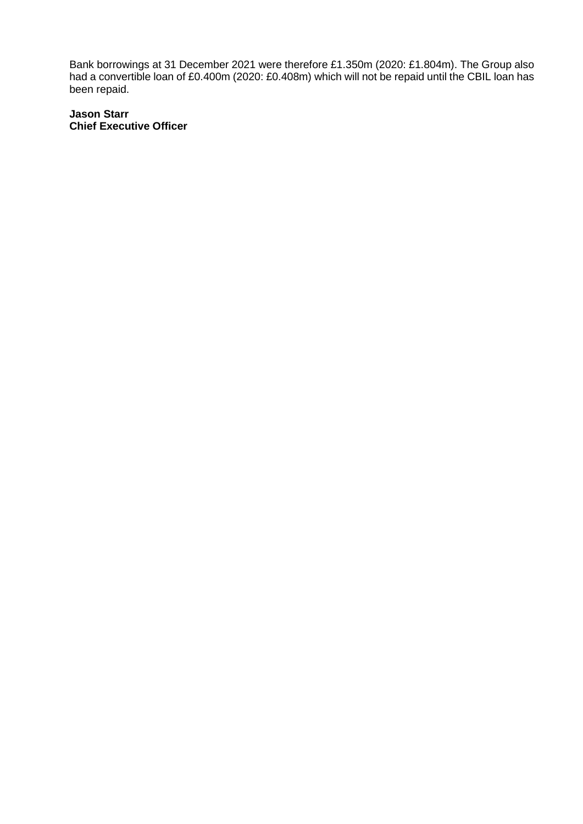Bank borrowings at 31 December 2021 were therefore £1.350m (2020: £1.804m). The Group also had a convertible loan of £0.400m (2020: £0.408m) which will not be repaid until the CBIL loan has been repaid.

### **Jason Starr Chief Executive Officer**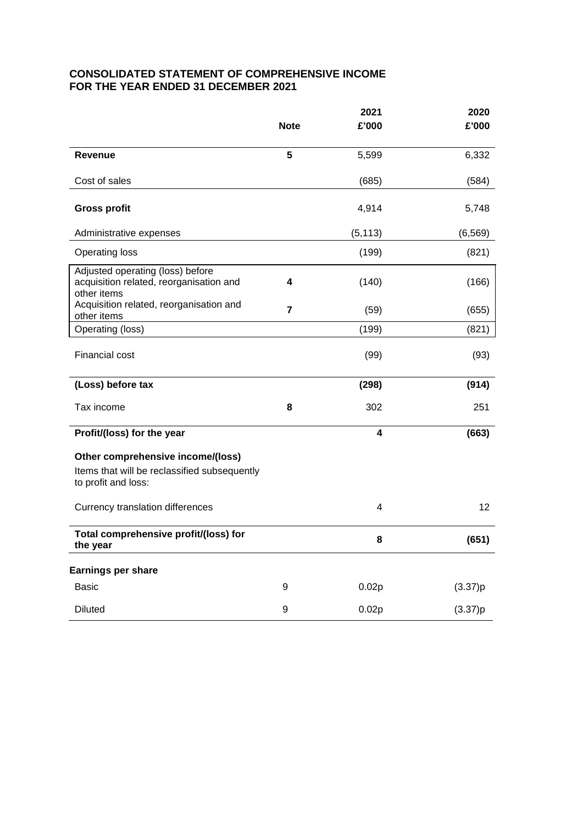# **CONSOLIDATED STATEMENT OF COMPREHENSIVE INCOME FOR THE YEAR ENDED 31 DECEMBER 2021**

|                                                                                            | <b>Note</b>    | 2021<br>£'000 | 2020<br>£'000 |
|--------------------------------------------------------------------------------------------|----------------|---------------|---------------|
|                                                                                            |                |               |               |
| <b>Revenue</b>                                                                             | 5              | 5,599         | 6,332         |
| Cost of sales                                                                              |                | (685)         | (584)         |
| <b>Gross profit</b>                                                                        |                | 4,914         | 5,748         |
| Administrative expenses                                                                    |                | (5, 113)      | (6, 569)      |
| <b>Operating loss</b>                                                                      |                | (199)         | (821)         |
| Adjusted operating (loss) before<br>acquisition related, reorganisation and<br>other items | 4              | (140)         | (166)         |
| Acquisition related, reorganisation and<br>other items                                     | $\overline{7}$ | (59)          | (655)         |
| Operating (loss)                                                                           |                | (199)         | (821)         |
| <b>Financial cost</b>                                                                      |                | (99)          | (93)          |
| (Loss) before tax                                                                          |                | (298)         | (914)         |
| Tax income                                                                                 | 8              | 302           | 251           |
| Profit/(loss) for the year                                                                 |                | 4             | (663)         |
| Other comprehensive income/(loss)                                                          |                |               |               |
| Items that will be reclassified subsequently<br>to profit and loss:                        |                |               |               |
| Currency translation differences                                                           |                | 4             | 12            |
| Total comprehensive profit/(loss) for<br>the year                                          |                | 8             | (651)         |
| Earnings per share                                                                         |                |               |               |
| <b>Basic</b>                                                                               | 9              | 0.02p         | (3.37)p       |
| <b>Diluted</b>                                                                             | 9              | 0.02p         | (3.37)p       |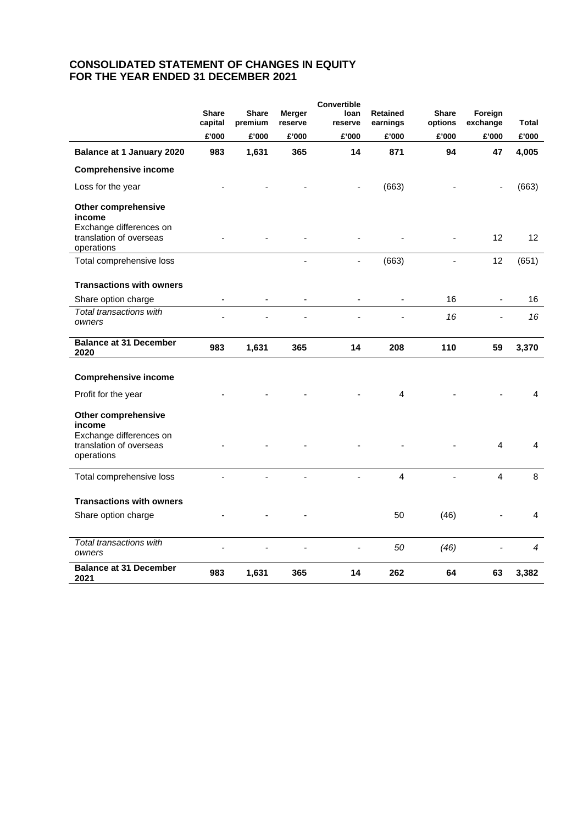## **CONSOLIDATED STATEMENT OF CHANGES IN EQUITY FOR THE YEAR ENDED 31 DECEMBER 2021**

|                                                                                                          | <b>Share</b><br>capital  | <b>Share</b><br>premium | <b>Merger</b><br>reserve | Convertible<br>loan<br>reserve | <b>Retained</b><br>earnings | <b>Share</b><br>options | Foreign<br>exchange | Total           |
|----------------------------------------------------------------------------------------------------------|--------------------------|-------------------------|--------------------------|--------------------------------|-----------------------------|-------------------------|---------------------|-----------------|
|                                                                                                          | £'000                    | £'000                   | £'000                    | £'000                          | £'000                       | £'000                   | £'000               | £'000           |
| Balance at 1 January 2020                                                                                | 983                      | 1,631                   | 365                      | 14                             | 871                         | 94                      | 47                  | 4,005           |
| <b>Comprehensive income</b>                                                                              |                          |                         |                          |                                |                             |                         |                     |                 |
| Loss for the year                                                                                        |                          |                         |                          |                                | (663)                       |                         |                     | (663)           |
| Other comprehensive<br>income<br>Exchange differences on<br>translation of overseas                      |                          |                         |                          |                                |                             |                         | 12                  | 12 <sup>2</sup> |
| operations                                                                                               |                          |                         |                          |                                |                             |                         | 12                  |                 |
| Total comprehensive loss                                                                                 |                          |                         |                          |                                | (663)                       |                         |                     | (651)           |
| <b>Transactions with owners</b>                                                                          |                          |                         |                          |                                |                             |                         |                     |                 |
| Share option charge                                                                                      | $\overline{\phantom{a}}$ |                         |                          |                                | $\overline{\phantom{a}}$    | 16                      | $\blacksquare$      | 16              |
| Total transactions with<br>owners                                                                        |                          |                         |                          |                                |                             | 16                      | $\overline{a}$      | 16              |
| <b>Balance at 31 December</b><br>2020                                                                    | 983                      | 1,631                   | 365                      | 14                             | 208                         | 110                     | 59                  | 3,370           |
| <b>Comprehensive income</b>                                                                              |                          |                         |                          |                                |                             |                         |                     |                 |
| Profit for the year                                                                                      |                          |                         |                          |                                | 4                           |                         |                     | 4               |
| <b>Other comprehensive</b><br>income<br>Exchange differences on<br>translation of overseas<br>operations |                          |                         |                          |                                |                             |                         | $\overline{4}$      | $\overline{4}$  |
| Total comprehensive loss                                                                                 |                          | ä,                      | ä,                       |                                | $\overline{4}$              |                         | 4                   | 8               |
| <b>Transactions with owners</b>                                                                          |                          |                         |                          |                                |                             |                         |                     |                 |
| Share option charge                                                                                      |                          |                         |                          |                                | 50                          | (46)                    |                     | 4               |
| Total transactions with<br>owners                                                                        |                          |                         |                          |                                | 50                          | (46)                    |                     | $\overline{4}$  |
| <b>Balance at 31 December</b><br>2021                                                                    | 983                      | 1,631                   | 365                      | 14                             | 262                         | 64                      | 63                  | 3,382           |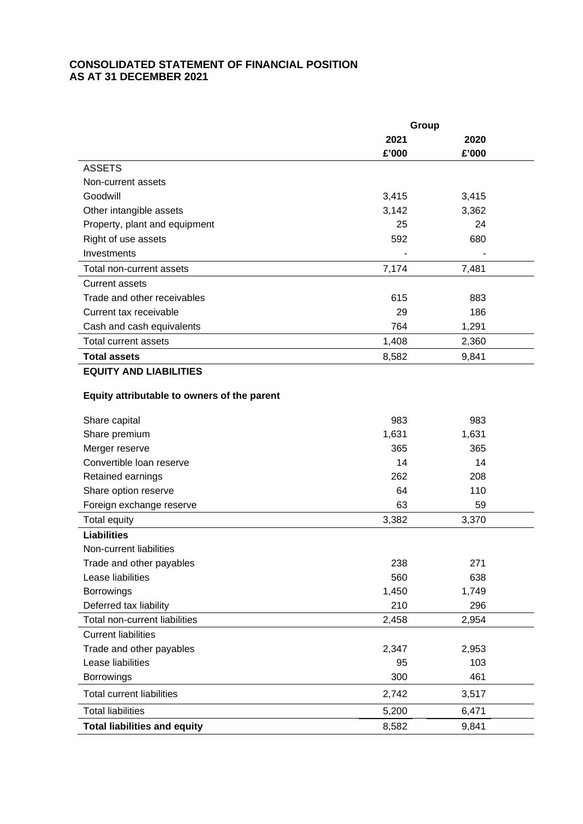# **CONSOLIDATED STATEMENT OF FINANCIAL POSITION AS AT 31 DECEMBER 2021**

|                                             | Group |       |  |
|---------------------------------------------|-------|-------|--|
|                                             | 2021  | 2020  |  |
|                                             | £'000 | £'000 |  |
| <b>ASSETS</b>                               |       |       |  |
| Non-current assets                          |       |       |  |
| Goodwill                                    | 3,415 | 3,415 |  |
| Other intangible assets                     | 3,142 | 3,362 |  |
| Property, plant and equipment               | 25    | 24    |  |
| Right of use assets                         | 592   | 680   |  |
| Investments                                 |       |       |  |
| Total non-current assets                    | 7,174 | 7,481 |  |
| <b>Current assets</b>                       |       |       |  |
| Trade and other receivables                 | 615   | 883   |  |
| Current tax receivable                      | 29    | 186   |  |
| Cash and cash equivalents                   | 764   | 1,291 |  |
| <b>Total current assets</b>                 | 1,408 | 2,360 |  |
| <b>Total assets</b>                         | 8,582 | 9,841 |  |
| <b>EQUITY AND LIABILITIES</b>               |       |       |  |
| Equity attributable to owners of the parent |       |       |  |
|                                             |       |       |  |
| Share capital                               | 983   | 983   |  |
| Share premium                               | 1,631 | 1,631 |  |
| Merger reserve                              | 365   | 365   |  |
| Convertible loan reserve                    | 14    | 14    |  |
| Retained earnings                           | 262   | 208   |  |
| Share option reserve                        | 64    | 110   |  |
| Foreign exchange reserve                    | 63    | 59    |  |
| Total equity                                | 3,382 | 3,370 |  |
| <b>Liabilities</b>                          |       |       |  |
| Non-current liabilities                     |       |       |  |
| Trade and other payables                    | 238   | 271   |  |
| Lease liabilities                           | 560   | 638   |  |
| <b>Borrowings</b>                           | 1,450 | 1,749 |  |
| Deferred tax liability                      | 210   | 296   |  |
| Total non-current liabilities               | 2,458 | 2,954 |  |
| <b>Current liabilities</b>                  |       |       |  |
| Trade and other payables                    | 2,347 | 2,953 |  |
| Lease liabilities                           | 95    | 103   |  |
| Borrowings                                  | 300   | 461   |  |
| <b>Total current liabilities</b>            | 2,742 | 3,517 |  |
| <b>Total liabilities</b>                    | 5,200 | 6,471 |  |
| <b>Total liabilities and equity</b>         | 8,582 | 9,841 |  |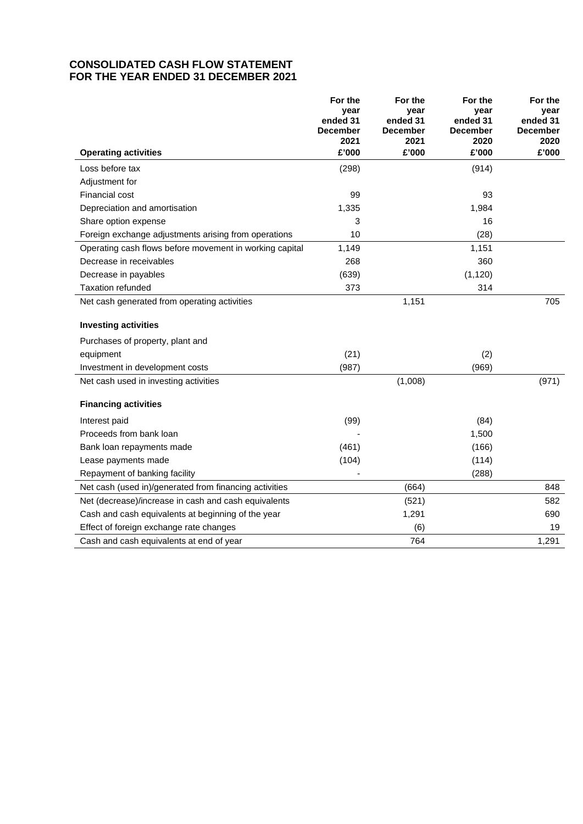# **CONSOLIDATED CASH FLOW STATEMENT FOR THE YEAR ENDED 31 DECEMBER 2021**

|                                                         | For the<br>vear<br>ended 31<br><b>December</b><br>2021 | For the<br>year<br>ended 31<br><b>December</b><br>2021 | For the<br>vear<br>ended 31<br><b>December</b><br>2020 | For the<br>year<br>ended 31<br><b>December</b><br>2020 |
|---------------------------------------------------------|--------------------------------------------------------|--------------------------------------------------------|--------------------------------------------------------|--------------------------------------------------------|
| <b>Operating activities</b>                             | £'000                                                  | £'000                                                  | £'000                                                  | £'000                                                  |
| Loss before tax                                         | (298)                                                  |                                                        | (914)                                                  |                                                        |
| Adjustment for                                          |                                                        |                                                        |                                                        |                                                        |
| <b>Financial cost</b>                                   | 99                                                     |                                                        | 93                                                     |                                                        |
| Depreciation and amortisation                           | 1,335                                                  |                                                        | 1,984                                                  |                                                        |
| Share option expense                                    | 3                                                      |                                                        | 16                                                     |                                                        |
| Foreign exchange adjustments arising from operations    | 10                                                     |                                                        | (28)                                                   |                                                        |
| Operating cash flows before movement in working capital | 1,149                                                  |                                                        | 1,151                                                  |                                                        |
| Decrease in receivables                                 | 268                                                    |                                                        | 360                                                    |                                                        |
| Decrease in payables                                    | (639)                                                  |                                                        | (1, 120)                                               |                                                        |
| <b>Taxation refunded</b>                                | 373                                                    |                                                        | 314                                                    |                                                        |
| Net cash generated from operating activities            |                                                        | 1,151                                                  |                                                        | 705                                                    |
| <b>Investing activities</b>                             |                                                        |                                                        |                                                        |                                                        |
| Purchases of property, plant and                        |                                                        |                                                        |                                                        |                                                        |
| equipment                                               | (21)                                                   |                                                        | (2)                                                    |                                                        |
| Investment in development costs                         | (987)                                                  |                                                        | (969)                                                  |                                                        |
| Net cash used in investing activities                   |                                                        | (1,008)                                                |                                                        | (971)                                                  |
| <b>Financing activities</b>                             |                                                        |                                                        |                                                        |                                                        |
| Interest paid                                           | (99)                                                   |                                                        | (84)                                                   |                                                        |
| Proceeds from bank loan                                 |                                                        |                                                        | 1,500                                                  |                                                        |
| Bank loan repayments made                               | (461)                                                  |                                                        | (166)                                                  |                                                        |
| Lease payments made                                     | (104)                                                  |                                                        | (114)                                                  |                                                        |
| Repayment of banking facility                           |                                                        |                                                        | (288)                                                  |                                                        |
| Net cash (used in)/generated from financing activities  |                                                        | (664)                                                  |                                                        | 848                                                    |
| Net (decrease)/increase in cash and cash equivalents    |                                                        | (521)                                                  |                                                        | 582                                                    |
| Cash and cash equivalents at beginning of the year      |                                                        | 1,291                                                  |                                                        | 690                                                    |
| Effect of foreign exchange rate changes                 |                                                        | (6)                                                    |                                                        | 19                                                     |
| Cash and cash equivalents at end of year                |                                                        | 764                                                    |                                                        | 1,291                                                  |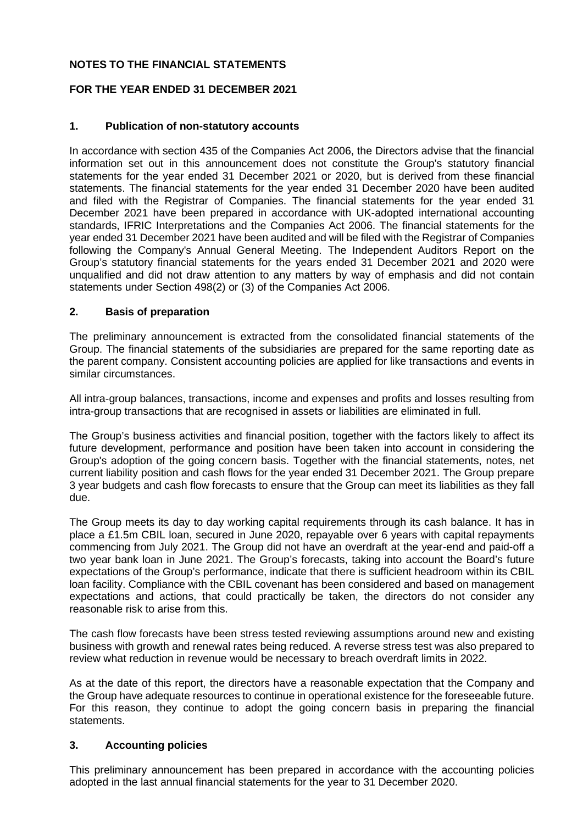# **NOTES TO THE FINANCIAL STATEMENTS**

# **FOR THE YEAR ENDED 31 DECEMBER 2021**

# **1. Publication of non-statutory accounts**

In accordance with section 435 of the Companies Act 2006, the Directors advise that the financial information set out in this announcement does not constitute the Group's statutory financial statements for the year ended 31 December 2021 or 2020, but is derived from these financial statements. The financial statements for the year ended 31 December 2020 have been audited and filed with the Registrar of Companies. The financial statements for the year ended 31 December 2021 have been prepared in accordance with UK-adopted international accounting standards, IFRIC Interpretations and the Companies Act 2006. The financial statements for the year ended 31 December 2021 have been audited and will be filed with the Registrar of Companies following the Company's Annual General Meeting. The Independent Auditors Report on the Group's statutory financial statements for the years ended 31 December 2021 and 2020 were unqualified and did not draw attention to any matters by way of emphasis and did not contain statements under Section 498(2) or (3) of the Companies Act 2006.

### **2. Basis of preparation**

The preliminary announcement is extracted from the consolidated financial statements of the Group. The financial statements of the subsidiaries are prepared for the same reporting date as the parent company. Consistent accounting policies are applied for like transactions and events in similar circumstances.

All intra-group balances, transactions, income and expenses and profits and losses resulting from intra-group transactions that are recognised in assets or liabilities are eliminated in full.

The Group's business activities and financial position, together with the factors likely to affect its future development, performance and position have been taken into account in considering the Group's adoption of the going concern basis. Together with the financial statements, notes, net current liability position and cash flows for the year ended 31 December 2021. The Group prepare 3 year budgets and cash flow forecasts to ensure that the Group can meet its liabilities as they fall due.

The Group meets its day to day working capital requirements through its cash balance. It has in place a £1.5m CBIL loan, secured in June 2020, repayable over 6 years with capital repayments commencing from July 2021. The Group did not have an overdraft at the year-end and paid-off a two year bank loan in June 2021. The Group's forecasts, taking into account the Board's future expectations of the Group's performance, indicate that there is sufficient headroom within its CBIL loan facility. Compliance with the CBIL covenant has been considered and based on management expectations and actions, that could practically be taken, the directors do not consider any reasonable risk to arise from this.

The cash flow forecasts have been stress tested reviewing assumptions around new and existing business with growth and renewal rates being reduced. A reverse stress test was also prepared to review what reduction in revenue would be necessary to breach overdraft limits in 2022.

As at the date of this report, the directors have a reasonable expectation that the Company and the Group have adequate resources to continue in operational existence for the foreseeable future. For this reason, they continue to adopt the going concern basis in preparing the financial statements.

# **3. Accounting policies**

This preliminary announcement has been prepared in accordance with the accounting policies adopted in the last annual financial statements for the year to 31 December 2020.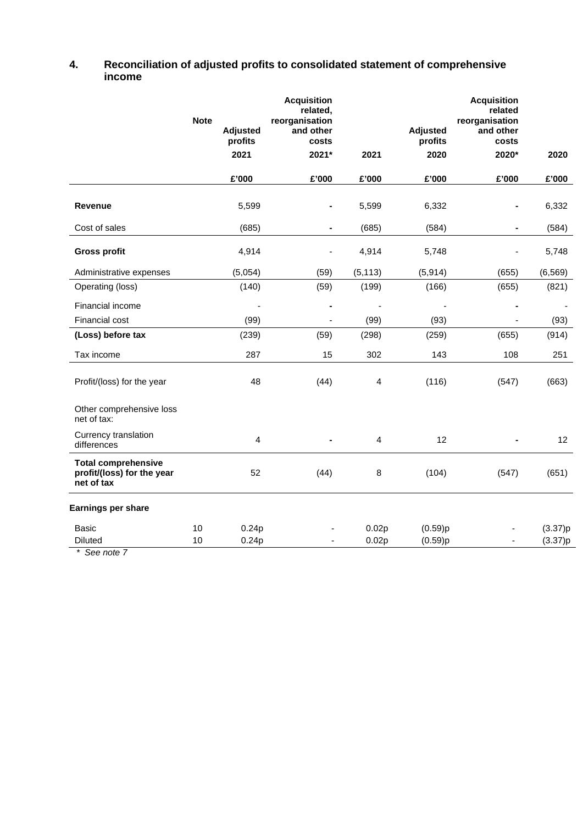| 4. | Reconciliation of adjusted profits to consolidated statement of comprehensive |
|----|-------------------------------------------------------------------------------|
|    | income                                                                        |

|                                                                        | <b>Note</b> | <b>Adjusted</b><br>profits | <b>Acquisition</b><br>related,<br>reorganisation<br>and other<br>costs |                          | <b>Adjusted</b><br>profits | <b>Acquisition</b><br>related<br>reorganisation<br>and other<br>costs |                    |
|------------------------------------------------------------------------|-------------|----------------------------|------------------------------------------------------------------------|--------------------------|----------------------------|-----------------------------------------------------------------------|--------------------|
|                                                                        |             | 2021                       | 2021*                                                                  | 2021                     | 2020                       | 2020*                                                                 | 2020               |
|                                                                        |             | £'000                      | £'000                                                                  | £'000                    | £'000                      | £'000                                                                 | £'000              |
| <b>Revenue</b>                                                         |             | 5,599                      | $\blacksquare$                                                         | 5,599                    | 6,332                      | -                                                                     | 6,332              |
| Cost of sales                                                          |             | (685)                      | $\blacksquare$                                                         | (685)                    | (584)                      |                                                                       | (584)              |
| <b>Gross profit</b>                                                    |             | 4,914                      |                                                                        | 4,914                    | 5,748                      |                                                                       | 5,748              |
| Administrative expenses                                                |             | (5,054)                    | (59)                                                                   | (5, 113)                 | (5, 914)                   | (655)                                                                 | (6, 569)           |
| Operating (loss)                                                       |             | (140)                      | (59)                                                                   | (199)                    | (166)                      | (655)                                                                 | (821)              |
| Financial income                                                       |             |                            | $\blacksquare$                                                         | $\overline{\phantom{a}}$ | $\blacksquare$             |                                                                       |                    |
| Financial cost                                                         |             | (99)                       |                                                                        | (99)                     | (93)                       |                                                                       | (93)               |
| (Loss) before tax                                                      |             | (239)                      | (59)                                                                   | (298)                    | (259)                      | (655)                                                                 | (914)              |
| Tax income                                                             |             | 287                        | 15                                                                     | 302                      | 143                        | 108                                                                   | 251                |
| Profit/(loss) for the year                                             |             | 48                         | (44)                                                                   | 4                        | (116)                      | (547)                                                                 | (663)              |
| Other comprehensive loss<br>net of tax:                                |             |                            |                                                                        |                          |                            |                                                                       |                    |
| Currency translation<br>differences                                    |             | $\overline{4}$             | $\blacksquare$                                                         | $\overline{4}$           | 12                         |                                                                       | 12                 |
| <b>Total comprehensive</b><br>profit/(loss) for the year<br>net of tax |             | 52                         | (44)                                                                   | 8                        | (104)                      | (547)                                                                 | (651)              |
| Earnings per share                                                     |             |                            |                                                                        |                          |                            |                                                                       |                    |
| Basic<br><b>Diluted</b>                                                | 10<br>10    | 0.24p<br>0.24p             |                                                                        | 0.02p<br>0.02p           | (0.59)p<br>(0.59)p         |                                                                       | (3.37)p<br>(3.37)p |

*\* See note 7*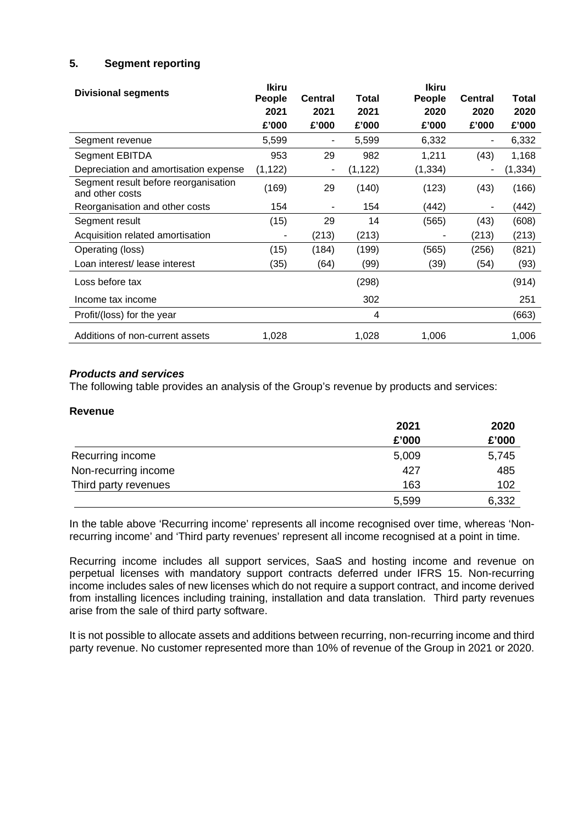# **5. Segment reporting**

| <b>Divisional segments</b>                              | <b>Ikiru</b> |                |          | <b>Ikiru</b> |                |          |
|---------------------------------------------------------|--------------|----------------|----------|--------------|----------------|----------|
|                                                         | People       | <b>Central</b> | Total    | People       | <b>Central</b> | Total    |
|                                                         | 2021         | 2021           | 2021     | 2020         | 2020           | 2020     |
|                                                         | £'000        | £'000          | £'000    | £'000        | £'000          | £'000    |
| Segment revenue                                         | 5,599        | ٠              | 5,599    | 6,332        |                | 6,332    |
| Segment EBITDA                                          | 953          | 29             | 982      | 1,211        | (43)           | 1,168    |
| Depreciation and amortisation expense                   | (1, 122)     | ٠              | (1, 122) | (1, 334)     | ۰              | (1, 334) |
| Segment result before reorganisation<br>and other costs | (169)        | 29             | (140)    | (123)        | (43)           | (166)    |
| Reorganisation and other costs                          | 154          |                | 154      | (442)        |                | (442)    |
| Segment result                                          | (15)         | 29             | 14       | (565)        | (43)           | (608)    |
| Acquisition related amortisation                        |              | (213)          | (213)    |              | (213)          | (213)    |
| Operating (loss)                                        | (15)         | (184)          | (199)    | (565)        | (256)          | (821)    |
| Loan interest/ lease interest                           | (35)         | (64)           | (99)     | (39)         | (54)           | (93)     |
| Loss before tax                                         |              |                | (298)    |              |                | (914)    |
| Income tax income                                       |              |                | 302      |              |                | 251      |
| Profit/(loss) for the year                              |              |                | 4        |              |                | (663)    |
| Additions of non-current assets                         | 1,028        |                | 1,028    | 1,006        |                | 1,006    |

# *Products and services*

The following table provides an analysis of the Group's revenue by products and services:

#### **Revenue**

|                      | 2021  | 2020  |
|----------------------|-------|-------|
|                      | £'000 | £'000 |
| Recurring income     | 5,009 | 5,745 |
| Non-recurring income | 427   | 485   |
| Third party revenues | 163   | 102   |
|                      | 5,599 | 6,332 |

In the table above 'Recurring income' represents all income recognised over time, whereas 'Nonrecurring income' and 'Third party revenues' represent all income recognised at a point in time.

Recurring income includes all support services, SaaS and hosting income and revenue on perpetual licenses with mandatory support contracts deferred under IFRS 15. Non-recurring income includes sales of new licenses which do not require a support contract, and income derived from installing licences including training, installation and data translation. Third party revenues arise from the sale of third party software.

It is not possible to allocate assets and additions between recurring, non-recurring income and third party revenue. No customer represented more than 10% of revenue of the Group in 2021 or 2020.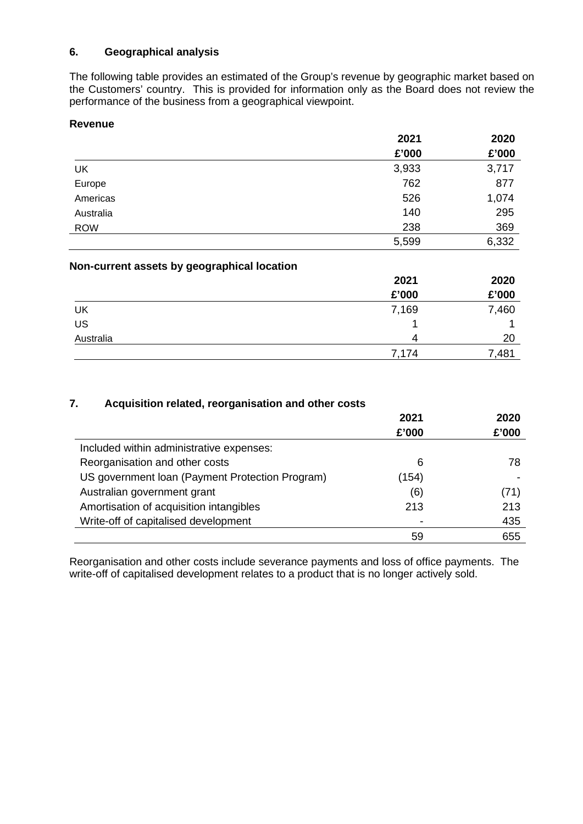# **6. Geographical analysis**

The following table provides an estimated of the Group's revenue by geographic market based on the Customers' country. This is provided for information only as the Board does not review the performance of the business from a geographical viewpoint.

# **Revenue**

|            | 2021  | 2020  |
|------------|-------|-------|
|            | £'000 | £'000 |
| UK         | 3,933 | 3,717 |
| Europe     | 762   | 877   |
| Americas   | 526   | 1,074 |
| Australia  | 140   | 295   |
| <b>ROW</b> | 238   | 369   |
|            | 5,599 | 6,332 |

| Non-current assets by geographical location |       |       |  |  |  |
|---------------------------------------------|-------|-------|--|--|--|
|                                             | 2021  | 2020  |  |  |  |
|                                             | £'000 | £'000 |  |  |  |
| UK                                          | 7,169 | 7,460 |  |  |  |
| US                                          |       |       |  |  |  |
| Australia                                   | Δ     | 20    |  |  |  |
|                                             | 7,174 | 7,481 |  |  |  |

# **7. Acquisition related, reorganisation and other costs**

|                                                 | 2021  | 2020  |
|-------------------------------------------------|-------|-------|
|                                                 | £'000 | £'000 |
| Included within administrative expenses:        |       |       |
| Reorganisation and other costs                  | 6     | 78    |
| US government Ioan (Payment Protection Program) | (154) |       |
| Australian government grant                     | (6)   | (71)  |
| Amortisation of acquisition intangibles         | 213   | 213   |
| Write-off of capitalised development            |       | 435   |
|                                                 | 59    | 655   |

Reorganisation and other costs include severance payments and loss of office payments. The write-off of capitalised development relates to a product that is no longer actively sold.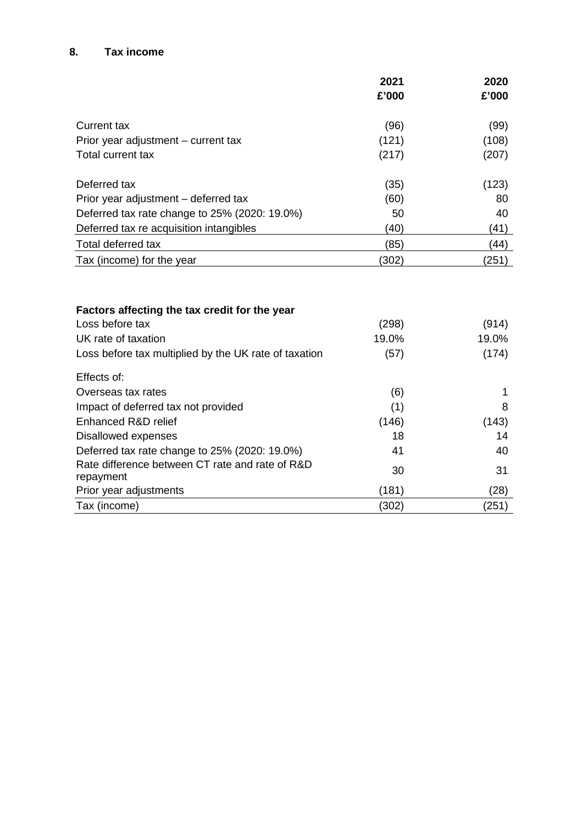# **8. Tax income**

|                                                                                         | 2021           | 2020           |
|-----------------------------------------------------------------------------------------|----------------|----------------|
|                                                                                         | £'000          | £'000          |
| <b>Current tax</b>                                                                      | (96)           | (99)           |
| Prior year adjustment – current tax                                                     | (121)          | (108)          |
| Total current tax                                                                       | (217)          | (207)          |
| Deferred tax                                                                            | (35)           | (123)          |
| Prior year adjustment – deferred tax                                                    | (60)           | 80             |
| Deferred tax rate change to 25% (2020: 19.0%)                                           | 50             | 40             |
| Deferred tax re acquisition intangibles                                                 | (40)           | (41)           |
| <b>Total deferred tax</b>                                                               | (85)           | (44)           |
| Tax (income) for the year                                                               | (302)          | (251)          |
| Factors affecting the tax credit for the year<br>Loss before tax<br>UK rate of taxation | (298)<br>19.0% | (914)<br>19.0% |
| Loss before tax multiplied by the UK rate of taxation                                   | (57)           | (174)          |
| Effects of:                                                                             |                |                |
| Overseas tax rates                                                                      | (6)            | 1              |
| Impact of deferred tax not provided                                                     | (1)            | 8              |
| Enhanced R&D relief                                                                     | (146)          | (143)          |
| Disallowed expenses                                                                     | 18             | 14             |
| Deferred tax rate change to 25% (2020: 19.0%)                                           | 41             | 40             |
| Rate difference between CT rate and rate of R&D<br>repayment                            | 30             | 31             |
| Prior year adjustments                                                                  | (181)          | (28)           |
| Tax (income)                                                                            | (302)          | (251)          |